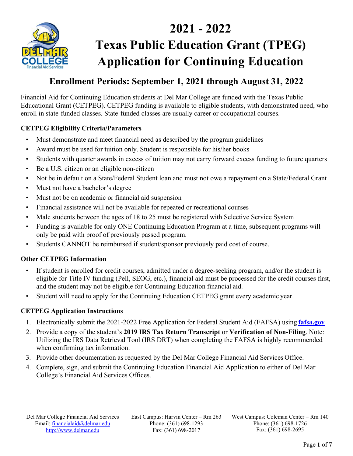

# **2021 - 2022 Texas Public Education Grant (TPEG) Application for Continuing Education**

# **Enrollment Periods: September 1, 2021 through August 31, 2022**

Financial Aid for Continuing Education students at Del Mar College are funded with the Texas Public Educational Grant (CETPEG). CETPEG funding is available to eligible students, with demonstrated need, who enroll in state-funded classes. State-funded classes are usually career or occupational courses.

### **CETPEG Eligibility Criteria/Parameters**

- Must demonstrate and meet financial need as described by the program guidelines
- Award must be used for tuition only. Student is responsible for his/her books
- Students with quarter awards in excess of tuition may not carry forward excess funding to future quarters
- Be a U.S. citizen or an eligible non-citizen
- Not be in default on a State/Federal Student loan and must not owe a repayment on a State/Federal Grant
- Must not have a bachelor's degree
- Must not be on academic or financial aid suspension
- Financial assistance will not be available for repeated or recreational courses
- Male students between the ages of 18 to 25 must be registered with Selective Service System
- Funding is available for only ONE Continuing Education Program at a time, subsequent programs will only be paid with proof of previously passed program.
- Students CANNOT be reimbursed if student/sponsor previously paid cost of course.

#### **Other CETPEG Information**

- If student is enrolled for credit courses, admitted under a degree-seeking program, and/or the student is eligible for Title IV funding (Pell, SEOG, etc.), financial aid must be processed for the credit courses first, and the student may not be eligible for Continuing Education financial aid.
- Student will need to apply for the Continuing Education CETPEG grant every academic year.

#### **CETPEG Application Instructions**

- 1. Electronically submit the 2021-2022 Free Application for Federal Student Aid (FAFSA) using **fafsa.gov**
- 2. Provide a copy of the student's **2019 IRS Tax Return Transcript** or **Verification of Non-Filing**. Note: Utilizing the IRS Data Retrieval Tool (IRS DRT) when completing the FAFSA is highly recommended when confirming tax information.
- 3. Provide other documentation as requested by the Del Mar College Financial Aid Services Office.
- 4. Complete, sign, and submit the Continuing Education Financial Aid Application to either of Del Mar College's Financial Aid Services Offices.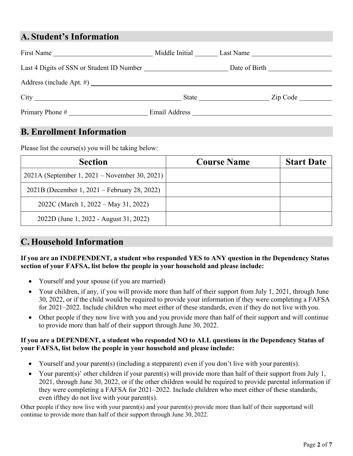# **A. Student's Information**

|                                           |                            | Middle Initial Last Name                                                                                                                                                                                                                  |  |
|-------------------------------------------|----------------------------|-------------------------------------------------------------------------------------------------------------------------------------------------------------------------------------------------------------------------------------------|--|
| Last 4 Digits of SSN or Student ID Number |                            |                                                                                                                                                                                                                                           |  |
|                                           |                            |                                                                                                                                                                                                                                           |  |
|                                           |                            | Zip Code<br>State and the state of the state of the state of the state of the state of the state of the state of the state of the state of the state of the state of the state of the state of the state of the state of the state of the |  |
|                                           | Email Address <b>Email</b> |                                                                                                                                                                                                                                           |  |

# **B. Enrollment Information**

Please list the course(s) you will be taking below:

| <b>Section</b>                                | <b>Course Name</b> | <b>Start Date</b> |
|-----------------------------------------------|--------------------|-------------------|
| 2021A (September 1, 2021 – November 30, 2021) |                    |                   |
| 2021B (December 1, 2021 – February 28, 2022)  |                    |                   |
| 2022C (March 1, 2022 – May 31, 2022)          |                    |                   |
| 2022D (June 1, 2022 - August 31, 2022)        |                    |                   |

# **C. Household Information**

#### **If you are an INDEPENDENT, a student who responded YES to ANY question in the Dependency Status section of your FAFSA, list below the people in your household and please include:**

- Yourself and your spouse (if you are married)
- Your children, if any, if you will provide more than half of their support from July 1, 2021, through June 30, 2022, or if the child would be required to provide your information if they were completing a FAFSA for 2021–2022. Include children who meet either of these standards, even if they do not live with you.
- Other people if they now live with you and you provide more than half of their support and will continue to provide more than half of their support through June 30, 2022.

#### **If you are a DEPENDENT, a student who responded NO to ALL questions in the Dependency Status of your FAFSA, list below the people in your household and please include:**

- Yourself and your parent(s) (including a stepparent) even if you don't live with your parent(s).
- Your parent(s)' other children if your parent(s) will provide more than half of their support from July 1, 2021, through June 30, 2022, or if the other children would be required to provide parental information if they were completing a FAFSA for 2021–2022. Include children who meet either of these standards, even if they do not live with your parent (s).

Other people if they now live with your parent(s) and your parent(s) provide more than half of their supportand will continue to provide more than half of their support through June 30, 2022.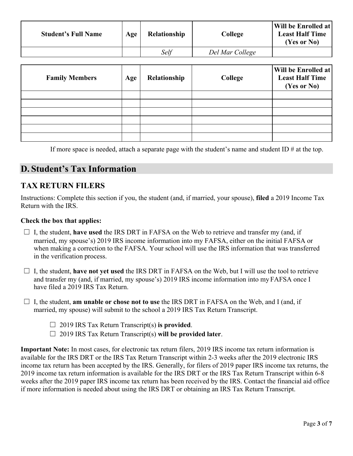| <b>Student's Full Name</b> | Age | <b>Relationship</b> | College         | Will be Enrolled at<br><b>Least Half Time</b><br>(Yes or No) |
|----------------------------|-----|---------------------|-----------------|--------------------------------------------------------------|
|                            |     | Self                | Del Mar College |                                                              |

| <b>Family Members</b> | Age | Relationship | College | Will be Enrolled at<br><b>Least Half Time</b><br>(Yes or No) |
|-----------------------|-----|--------------|---------|--------------------------------------------------------------|
|                       |     |              |         |                                                              |
|                       |     |              |         |                                                              |
|                       |     |              |         |                                                              |
|                       |     |              |         |                                                              |
|                       |     |              |         |                                                              |
|                       |     |              |         |                                                              |

If more space is needed, attach a separate page with the student's name and student ID  $\#$  at the top.

# **D. Student's Tax Information**

### **TAX RETURN FILERS**

Instructions: Complete this section if you, the student (and, if married, your spouse), **filed** a 2019 Income Tax Return with the IRS.

#### **Check the box that applies:**

- $\Box$  I, the student, **have used** the IRS DRT in FAFSA on the Web to retrieve and transfer my (and, if married, my spouse's) 2019 IRS income information into my FAFSA, either on the initial FAFSA or when making a correction to the FAFSA. Your school will use the IRS information that was transferred in the verification process.
- $\Box$  I, the student, **have not yet used** the IRS DRT in FAFSA on the Web, but I will use the tool to retrieve and transfer my (and, if married, my spouse's) 2019 IRS income information into my FAFSA once I have filed a 2019 IRS Tax Return.
- ☐ I, the student, **am unable or chose not to use** the IRS DRT in FAFSA on the Web, and I (and, if married, my spouse) will submit to the school a 2019 IRS Tax Return Transcript.
	- ☐ 2019 IRS Tax Return Transcript(s) **is provided**.
	- ☐ 2019 IRS Tax Return Transcript(s) **will be provided later**.

**Important Note:** In most cases, for electronic tax return filers, 2019 IRS income tax return information is available for the IRS DRT or the IRS Tax Return Transcript within 2-3 weeks after the 2019 electronic IRS income tax return has been accepted by the IRS. Generally, for filers of 2019 paper IRS income tax returns, the 2019 income tax return information is available for the IRS DRT or the IRS Tax Return Transcript within 6-8 weeks after the 2019 paper IRS income tax return has been received by the IRS. Contact the financial aid office if more information is needed about using the IRS DRT or obtaining an IRS Tax Return Transcript.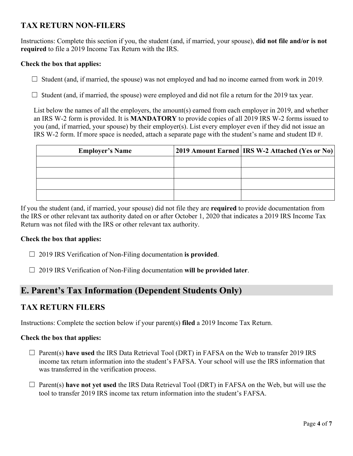### **TAX RETURN NON-FILERS**

Instructions: Complete this section if you, the student (and, if married, your spouse), **did not file and/or is not required** to file a 2019 Income Tax Return with the IRS.

#### **Check the box that applies:**

 $\Box$  Student (and, if married, the spouse) was not employed and had no income earned from work in 2019.

 $\Box$  Student (and, if married, the spouse) were employed and did not file a return for the 2019 tax year.

List below the names of all the employers, the amount(s) earned from each employer in 2019, and whether an IRS W-2 form is provided. It is **MANDATORY** to provide copies of all 2019 IRS W-2 forms issued to you (and, if married, your spouse) by their employer(s). List every employer even if they did not issue an IRS W-2 form. If more space is needed, attach a separate page with the student's name and student ID #.

| <b>Employer's Name</b> | 2019 Amount Earned   IRS W-2 Attached (Yes or No) |
|------------------------|---------------------------------------------------|
|                        |                                                   |
|                        |                                                   |
|                        |                                                   |
|                        |                                                   |

If you the student (and, if married, your spouse) did not file they are **required** to provide documentation from the IRS or other relevant tax authority dated on or after October 1, 2020 that indicates a 2019 IRS Income Tax Return was not filed with the IRS or other relevant tax authority.

#### **Check the box that applies:**

- ☐ 2019 IRS Verification of Non-Filing documentation **is provided**.
- ☐ 2019 IRS Verification of Non-Filing documentation **will be provided later**.

# **E. Parent's Tax Information (Dependent Students Only)**

### **TAX RETURN FILERS**

Instructions: Complete the section below if your parent(s) **filed** a 2019 Income Tax Return.

### **Check the box that applies:**

- ☐ Parent(s) **have used** the IRS Data Retrieval Tool (DRT) in FAFSA on the Web to transfer 2019 IRS income tax return information into the student's FAFSA. Your school will use the IRS information that was transferred in the verification process.
- ☐ Parent(s) **have not yet used** the IRS Data Retrieval Tool (DRT) in FAFSA on the Web, but will use the tool to transfer 2019 IRS income tax return information into the student's FAFSA.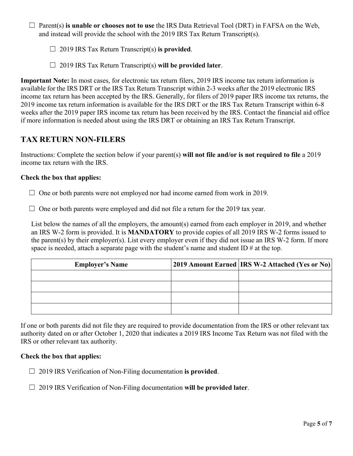☐ Parent(s) **is unable or chooses not to use** the IRS Data Retrieval Tool (DRT) in FAFSA on the Web, and instead will provide the school with the 2019 IRS Tax Return Transcript(s).

- ☐ 2019 IRS Tax Return Transcript(s) **is provided**.
- ☐ 2019 IRS Tax Return Transcript(s) **will be provided later**.

**Important Note:** In most cases, for electronic tax return filers, 2019 IRS income tax return information is available for the IRS DRT or the IRS Tax Return Transcript within 2-3 weeks after the 2019 electronic IRS income tax return has been accepted by the IRS. Generally, for filers of 2019 paper IRS income tax returns, the 2019 income tax return information is available for the IRS DRT or the IRS Tax Return Transcript within 6-8 weeks after the 2019 paper IRS income tax return has been received by the IRS. Contact the financial aid office if more information is needed about using the IRS DRT or obtaining an IRS Tax Return Transcript.

### **TAX RETURN NON-FILERS**

Instructions: Complete the section below if your parent(s) **will not file and/or is not required to file** a 2019 income tax return with the IRS.

#### **Check the box that applies:**

 $\Box$  One or both parents were not employed nor had income earned from work in 2019.

 $\Box$  One or both parents were employed and did not file a return for the 2019 tax year.

List below the names of all the employers, the amount(s) earned from each employer in 2019, and whether an IRS W-2 form is provided. It is **MANDATORY** to provide copies of all 2019 IRS W-2 forms issued to the parent(s) by their employer(s). List every employer even if they did not issue an IRS W-2 form. If more space is needed, attach a separate page with the student's name and student ID  $\#$  at the top.

| <b>Employer's Name</b> | 2019 Amount Earned   IRS W-2 Attached (Yes or No) |
|------------------------|---------------------------------------------------|
|                        |                                                   |
|                        |                                                   |
|                        |                                                   |
|                        |                                                   |

If one or both parents did not file they are required to provide documentation from the IRS or other relevant tax authority dated on or after October 1, 2020 that indicates a 2019 IRS Income Tax Return was not filed with the IRS or other relevant tax authority.

#### **Check the box that applies:**

☐ 2019 IRS Verification of Non-Filing documentation **is provided**.

☐ 2019 IRS Verification of Non-Filing documentation **will be provided later**.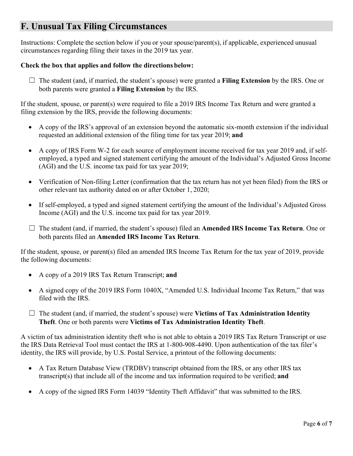# **F. Unusual Tax Filing Circumstances**

Instructions: Complete the section below if you or your spouse/parent(s), if applicable, experienced unusual circumstances regarding filing their taxes in the 2019 tax year.

#### **Check the box that applies and follow the directions below:**

☐ The student (and, if married, the student's spouse) were granted a **Filing Extension** by the IRS. One or both parents were granted a **Filing Extension** by the IRS.

If the student, spouse, or parent(s) were required to file a 2019 IRS Income Tax Return and were granted a filing extension by the IRS, provide the following documents:

- A copy of the IRS's approval of an extension beyond the automatic six-month extension if the individual requested an additional extension of the filing time for tax year 2019; **and**
- A copy of IRS Form W-2 for each source of employment income received for tax year 2019 and, if selfemployed, a typed and signed statement certifying the amount of the Individual's Adjusted Gross Income (AGI) and the U.S. income tax paid for tax year 2019;
- Verification of Non-filing Letter (confirmation that the tax return has not yet been filed) from the IRS or other relevant tax authority dated on or after October 1, 2020;
- If self-employed, a typed and signed statement certifying the amount of the Individual's Adjusted Gross Income (AGI) and the U.S. income tax paid for tax year 2019.
- ☐ The student (and, if married, the student's spouse) filed an **Amended IRS Income Tax Return**. One or both parents filed an **Amended IRS Income Tax Return**.

If the student, spouse, or parent(s) filed an amended IRS Income Tax Return for the tax year of 2019, provide the following documents:

- A copy of a 2019 IRS Tax Return Transcript; **and**
- A signed copy of the 2019 IRS Form 1040X, "Amended U.S. Individual Income Tax Return," that was filed with the IRS.
- □ The student (and, if married, the student's spouse) were **Victims of Tax Administration Identity Theft**. One or both parents were **Victims of Tax Administration Identity Theft**.

A victim of tax administration identity theft who is not able to obtain a 2019 IRS Tax Return Transcript or use the IRS Data Retrieval Tool must contact the IRS at 1-800-908-4490. Upon authentication of the tax filer's identity, the IRS will provide, by U.S. Postal Service, a printout of the following documents:

- A Tax Return Database View (TRDBV) transcript obtained from the IRS, or any other IRS tax transcript(s) that include all of the income and tax information required to be verified; **and**
- A copy of the signed IRS Form 14039 "Identity Theft Affidavit" that was submitted to the IRS.